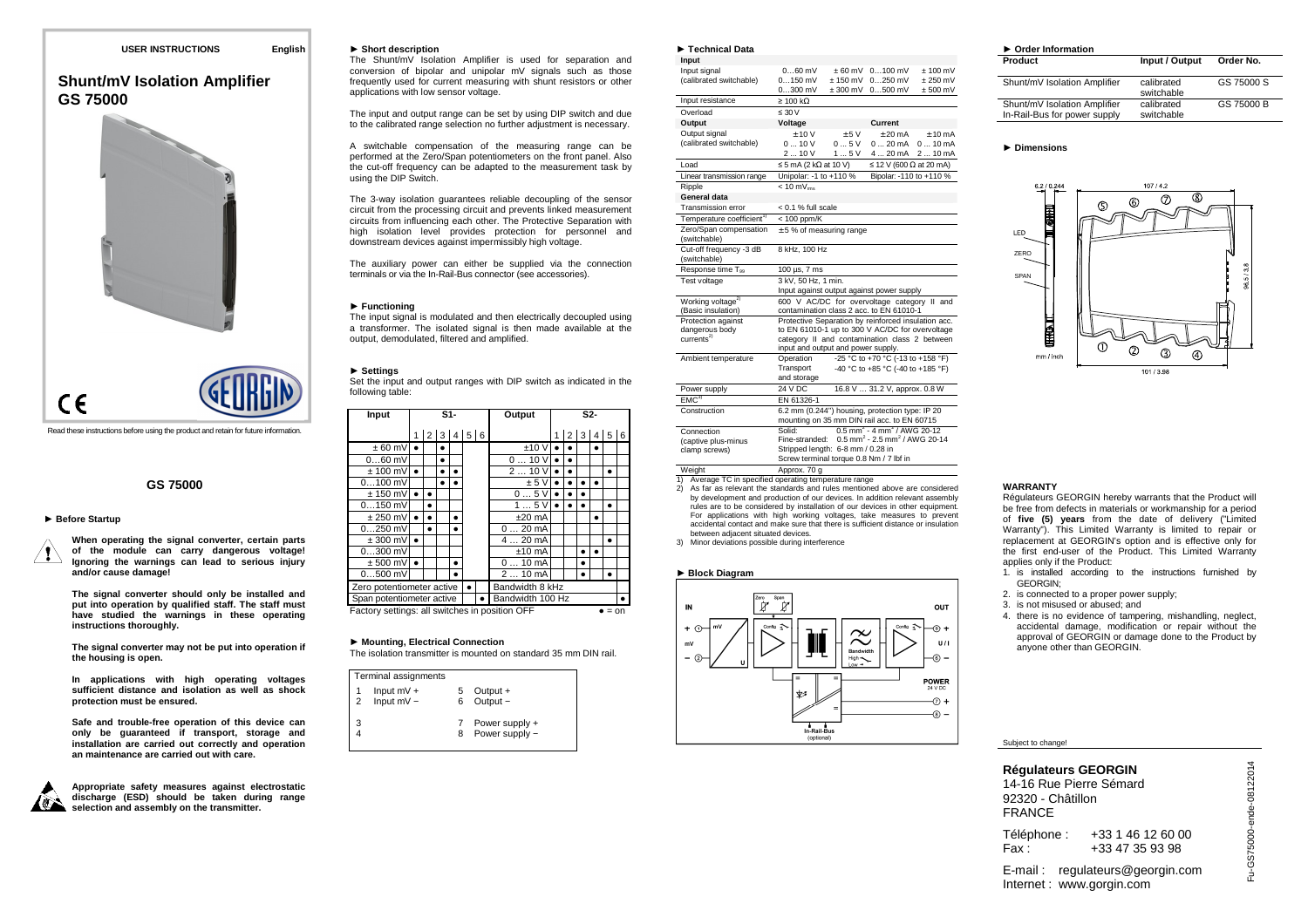## **USER INSTRUCTIONS English**

# **Shunt/mV Isolation AmplifierGS 75000**



Read these instructions before using the product and retain for future information.

## **GS 75000**

## ► **Before Startup**

**When operating the signal converter, certain parts of the module can carry dangerous voltage! Ignoring the warnings can lead to serious injury and/or cause damage!** 

**The signal converter should only be installed and put into operation by qualified staff. The staff must have studied the warnings in these operating instructions thoroughly.** 

**The signal converter may not be put into operation if the housing is open.** 

**In applications with high operating voltages sufficient distance and isolation as well as shock protection must be ensured.** 

**Safe and trouble-free operation of this device can only be guaranteed if transport, storage and installation are carried out correctly and operation an maintenance are carried out with care.** 



**Appropriate safety measures against electrostatic discharge (ESD) should be taken during range selection and assembly on the transmitter.** 

## ► **Short description**

 The Shunt/mV Isolation Amplifier is used for separation and conversion of bipolar and unipolar mV signals such as those frequently used for current measuring with shunt resistors or other applications with low sensor voltage.

The input and output range can be set by using DIP switch and due to the calibrated range selection no further adjustment is necessary.

A switchable compensation of the measuring range can be performed at the Zero/Span potentiometers on the front panel. Also the cut-off frequency can be adapted to the measurement task by using the DIP Switch.

The 3-way isolation guarantees reliable decoupling of the sensor circuit from the processing circuit and prevents linked measurement circuits from influencing each other. The Protective Separation with high isolation level provides protection for personnel and downstream devices against impermissibly high voltage.

The auxiliary power can either be supplied via the connection terminals or via the In-Rail-Bus connector (see accessories).

## ► **Functioning**

 The input signal is modulated and then electrically decoupled using a transformer. The isolated signal is then made available at the output, demodulated, filtered and amplified.

## ► **Settings**

 Set the input and output ranges with DIP switch as indicated in the following table:

| Input                                                    | $S1-$ |                         | Output |           | S2-              |  |                 |  |  |   |  |           |  |
|----------------------------------------------------------|-------|-------------------------|--------|-----------|------------------|--|-----------------|--|--|---|--|-----------|--|
|                                                          |       | $1 \ 2 \ 3 \ 4 \ 5 \ 6$ |        |           |                  |  |                 |  |  |   |  | 2 3 4 5 6 |  |
| $± 60$ mV                                                |       |                         |        |           |                  |  | ±10V            |  |  |   |  |           |  |
| $060$ mV                                                 |       |                         |        |           |                  |  | 010V            |  |  |   |  |           |  |
| $± 100$ mV                                               | ٠     |                         |        |           |                  |  | 210V            |  |  |   |  |           |  |
| $0100$ mV                                                |       |                         |        |           |                  |  | ± 5V            |  |  |   |  |           |  |
| $± 150$ mV                                               |       |                         |        |           |                  |  | 05V             |  |  |   |  |           |  |
| $0150$ mV                                                |       |                         |        |           |                  |  | 15V             |  |  |   |  |           |  |
| $± 250$ mV                                               |       |                         |        | $\bullet$ |                  |  | $±20$ mA        |  |  |   |  |           |  |
| $0250$ mV                                                |       |                         |        |           |                  |  | $020$ mA        |  |  |   |  |           |  |
| $± 300$ mV                                               |       |                         |        |           |                  |  | $420$ mA        |  |  |   |  | ٠         |  |
| $0300$ mV                                                |       |                         |        |           |                  |  | $±10$ mA        |  |  |   |  |           |  |
| $± 500$ mV                                               |       |                         |        | ٠         |                  |  | $010$ mA        |  |  | ٠ |  |           |  |
| $0500$ mV                                                |       |                         |        |           |                  |  | $210$ mA        |  |  |   |  |           |  |
| Zero potentiometer active                                |       |                         |        |           |                  |  | Bandwidth 8 kHz |  |  |   |  |           |  |
| Span potentiometer active                                |       |                         |        |           | Bandwidth 100 Hz |  |                 |  |  |   |  |           |  |
| Factory settings: all switches in position OFF<br>$=$ on |       |                         |        |           |                  |  |                 |  |  |   |  |           |  |

► **Mounting, Electrical Connection** The isolation transmitter is mounted on standard 35 mm DIN rail.

| Terminal assignments                           |        |                                  |
|------------------------------------------------|--------|----------------------------------|
| Input $mV +$<br>Input $mV -$<br>$\overline{2}$ | 5<br>6 | Output +<br>Output -             |
| 3                                              |        | Power supply +<br>Power supply - |

| $\blacktriangleright$ Technical Data                |                                                                                                                |            |                                                                                         |                   |  |  |  |
|-----------------------------------------------------|----------------------------------------------------------------------------------------------------------------|------------|-----------------------------------------------------------------------------------------|-------------------|--|--|--|
| Input                                               |                                                                                                                |            |                                                                                         |                   |  |  |  |
| Input signal                                        | $060$ mV                                                                                                       | +60 mV     | $0100$ mV                                                                               | $+100 \text{ mV}$ |  |  |  |
| (calibrated switchable)                             | $0150$ mV                                                                                                      | $+150$ mV  | $0.0250 \text{ mV}$                                                                     | $+250$ mV         |  |  |  |
|                                                     | $0300$ mV                                                                                                      | $± 300$ mV | $0500$ mV                                                                               | $± 500$ mV        |  |  |  |
| Input resistance                                    | $\geq 100 \text{ k}\Omega$                                                                                     |            |                                                                                         |                   |  |  |  |
| Overload                                            | $\leq 30 V$                                                                                                    |            |                                                                                         |                   |  |  |  |
| Output                                              | Voltage                                                                                                        |            | Current                                                                                 |                   |  |  |  |
| Output signal                                       | $+10V$                                                                                                         | $+5V$      | $+20 \text{ mA}$                                                                        | $+10mA$           |  |  |  |
| (calibrated switchable)                             | 010V                                                                                                           | 05V        | 020mA                                                                                   | $010 \text{ mA}$  |  |  |  |
|                                                     | 2  10 V                                                                                                        | 15V        | 420mA                                                                                   | 2  10 mA          |  |  |  |
| Load                                                | $\leq$ 5 mA (2 k $\Omega$ at 10 V)                                                                             |            | $\leq$ 12 V (600 $\Omega$ at 20 mA)                                                     |                   |  |  |  |
| Linear transmission range                           | Unipolar: -1 to +110 %                                                                                         |            | Bipolar: -110 to +110 %                                                                 |                   |  |  |  |
| Ripple                                              | $< 10$ mV $_{\text{rms}}$                                                                                      |            |                                                                                         |                   |  |  |  |
| General data                                        |                                                                                                                |            |                                                                                         |                   |  |  |  |
| <b>Transmission error</b>                           | < 0.1 % full scale                                                                                             |            |                                                                                         |                   |  |  |  |
| Temperature coefficient <sup>1)</sup>               | $< 100$ ppm/K                                                                                                  |            |                                                                                         |                   |  |  |  |
| Zero/Span compensation<br>(switchable)              | $± 5$ % of measuring range                                                                                     |            |                                                                                         |                   |  |  |  |
| Cut-off frequency -3 dB<br>(switchable)             | 8 kHz, 100 Hz                                                                                                  |            |                                                                                         |                   |  |  |  |
| Response time T <sub>99</sub>                       | 100 µs, 7 ms                                                                                                   |            |                                                                                         |                   |  |  |  |
| Test voltage                                        | 3 kV, 50 Hz, 1 min.                                                                                            |            |                                                                                         |                   |  |  |  |
|                                                     |                                                                                                                |            | Input against output against power supply                                               |                   |  |  |  |
| Working voltage <sup>2)</sup><br>(Basic insulation) |                                                                                                                |            | 600 V AC/DC for overvoltage category II and<br>contamination class 2 acc. to EN 61010-1 |                   |  |  |  |
| Protection against                                  |                                                                                                                |            | Protective Separation by reinforced insulation acc.                                     |                   |  |  |  |
| dangerous body                                      | to EN 61010-1 up to 300 V AC/DC for overvoltage                                                                |            |                                                                                         |                   |  |  |  |
| currents <sup>2</sup>                               | category II and contamination class 2 between<br>input and output and power supply.                            |            |                                                                                         |                   |  |  |  |
|                                                     |                                                                                                                |            |                                                                                         |                   |  |  |  |
| Ambient temperature                                 | -25 °C to +70 °C (-13 to +158 °F)<br>Operation<br>-40 °C to +85 °C (-40 to +185 °F)<br>Transport               |            |                                                                                         |                   |  |  |  |
|                                                     | and storage                                                                                                    |            |                                                                                         |                   |  |  |  |
| Power supply                                        | 24 V DC                                                                                                        |            | 16.8 V  31.2 V, approx. 0.8 W                                                           |                   |  |  |  |
| EMC <sup>3</sup>                                    | EN 61326-1                                                                                                     |            |                                                                                         |                   |  |  |  |
| Construction                                        |                                                                                                                |            | 6.2 mm (0.244") housing, protection type: IP 20                                         |                   |  |  |  |
|                                                     |                                                                                                                |            | mounting on 35 mm DIN rail acc. to EN 60715                                             |                   |  |  |  |
| Connection                                          | Solid:                                                                                                         |            | $0.5$ mm <sup>2</sup> - 4 mm <sup>2</sup> / AWG 20-12                                   |                   |  |  |  |
| (captive plus-minus                                 | $0.5$ mm <sup>2</sup> - 2.5 mm <sup>2</sup> / AWG 20-14<br>Fine-stranded:<br>Stripped length: 6-8 mm / 0.28 in |            |                                                                                         |                   |  |  |  |
| clamp screws)                                       |                                                                                                                |            |                                                                                         |                   |  |  |  |
|                                                     | Screw terminal torque 0.8 Nm / 7 lbf in                                                                        |            |                                                                                         |                   |  |  |  |

Weight **Approx.** 70 g 1) Average TC in specified operating temperature range

 2) As far as relevant the standards and rules mentioned above are considered by development and production of our devices. In addition relevant assembly rules are to be considered by installation of our devices in other equipment. For applications with high working voltages, take measures to prevent accidental contact and make sure that there is sufficient distance or insulation between adjacent situated devices.

3) Minor deviations possible during interference

## ► **Block Diagram**



#### ► **Order Information ProductInput / Output** Shunt/mV Isolation Amplifier calibrated switchable Shunt/mV Isolation Amplifier calibrated

In-Rail-Bus for power supply

#### ► **Dimensions**



switchable

**Order No.** 

GS 75000 S

GS 75000 B

## **WARRANTY**

 Régulateurs GEORGIN hereby warrants that the Product will be free from defects in materials or workmanship for a period of **five (5) years** from the date of delivery ("Limited Warranty"). This Limited Warranty is limited to repair or replacement at GEORGIN's option and is effective only for the first end-user of the Product. This Limited Warranty applies only if the Product:

- 1. is installed according to the instructions furnished by GEORGIN:
- 2. is connected to a proper power supply;
- 3. is not misused or abused; and
- 4. there is no evidence of tampering, mishandling, neglect, accidental damage, modification or repair without the approval of GEORGIN or damage done to the Product by anyone other than GEORGIN.

#### Subject to change!

Téléphone : +33 1 46 12 60 00 Fax: +33 47 35 93 98

E-mail : regulateurs@georgin.com Internet : www.gorgin.com